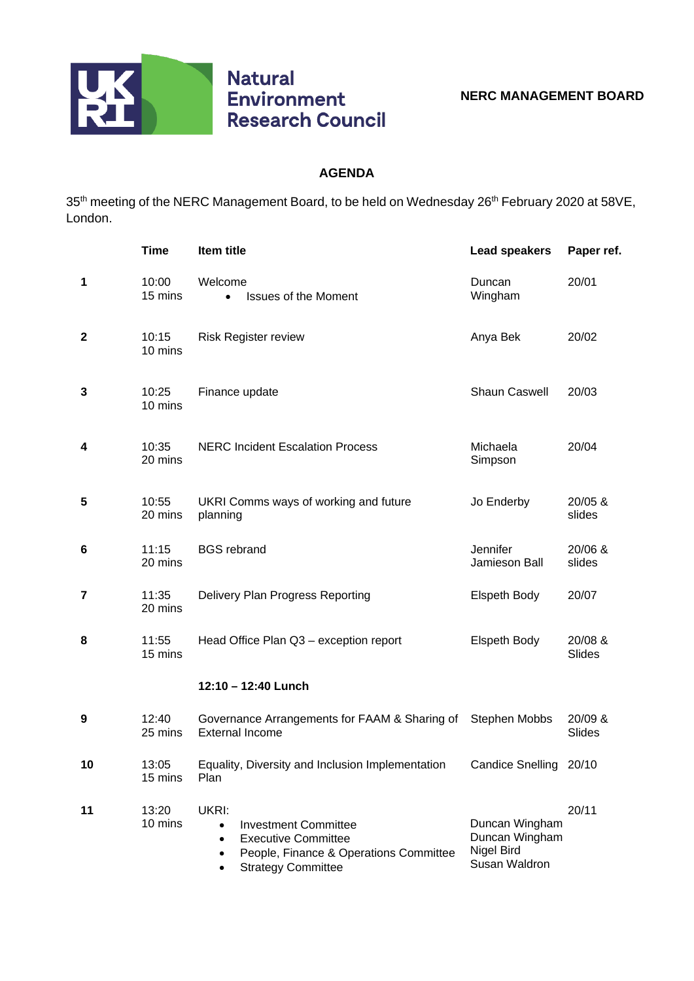

## **AGENDA**

35<sup>th</sup> meeting of the NERC Management Board, to be held on Wednesday 26<sup>th</sup> February 2020 at 58VE, London.

|    | <b>Time</b>      | Item title                                                                                                                                                                       | <b>Lead speakers</b>                                            | Paper ref.               |
|----|------------------|----------------------------------------------------------------------------------------------------------------------------------------------------------------------------------|-----------------------------------------------------------------|--------------------------|
| 1  | 10:00<br>15 mins | Welcome<br><b>Issues of the Moment</b><br>$\bullet$                                                                                                                              | Duncan<br>Wingham                                               | 20/01                    |
| 2  | 10:15<br>10 mins | <b>Risk Register review</b>                                                                                                                                                      | Anya Bek                                                        | 20/02                    |
| 3  | 10:25<br>10 mins | Finance update                                                                                                                                                                   | <b>Shaun Caswell</b>                                            | 20/03                    |
| 4  | 10:35<br>20 mins | <b>NERC Incident Escalation Process</b>                                                                                                                                          | Michaela<br>Simpson                                             | 20/04                    |
| 5  | 10:55<br>20 mins | UKRI Comms ways of working and future<br>planning                                                                                                                                | Jo Enderby                                                      | 20/05 &<br>slides        |
| 6  | 11:15<br>20 mins | <b>BGS</b> rebrand                                                                                                                                                               | Jennifer<br>Jamieson Ball                                       | 20/06 &<br>slides        |
| 7  | 11:35<br>20 mins | Delivery Plan Progress Reporting                                                                                                                                                 | <b>Elspeth Body</b>                                             | 20/07                    |
| 8  | 11:55<br>15 mins | Head Office Plan Q3 - exception report                                                                                                                                           | <b>Elspeth Body</b>                                             | 20/08 &<br><b>Slides</b> |
|    |                  | 12:10 - 12:40 Lunch                                                                                                                                                              |                                                                 |                          |
| 9  | 12:40<br>25 mins | Governance Arrangements for FAAM & Sharing of Stephen Mobbs<br><b>External Income</b>                                                                                            |                                                                 | 20/09 &<br>Slides        |
| 10 | 13:05<br>15 mins | Equality, Diversity and Inclusion Implementation<br>Plan                                                                                                                         | Candice Snelling 20/10                                          |                          |
| 11 | 13:20<br>10 mins | UKRI:<br><b>Investment Committee</b><br>$\bullet$<br><b>Executive Committee</b><br>$\bullet$<br>People, Finance & Operations Committee<br>$\bullet$<br><b>Strategy Committee</b> | Duncan Wingham<br>Duncan Wingham<br>Nigel Bird<br>Susan Waldron | 20/11                    |